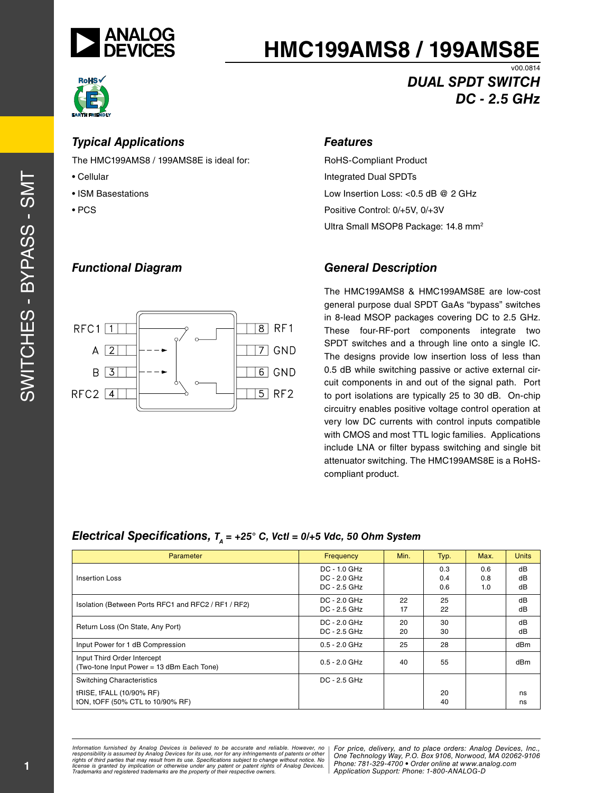

*Typical Applications*

The HMC199AMS8 / 199AMS8E is ideal for:

*Functional Diagram*

## **HMC199AMS8 / 199AMS8E**



• Cellular

• PCS

 $RFC1$ <sup>1</sup>

 $A$  | 2

 $B$  | 3

 $RFC2$  4

• ISM Basestations

*DUAL SPDT SWITCH DC - 2.5 GHz*

v00.0814

#### *Features*

RoHS-Compliant Product Integrated Dual SPDTs Low Insertion Loss: <0.5 dB @ 2 GHz Positive Control: 0/+5V, 0/+3V Ultra Small MSOP8 Package: 14.8 mm<sup>2</sup>

#### *General Description*

The HMC199AMS8 & HMC199AMS8E are low-cost general purpose dual SPDT GaAs "bypass" switches in 8-lead MSOP packages covering DC to 2.5 GHz. These four-RF-port components integrate two SPDT switches and a through line onto a single IC. The designs provide low insertion loss of less than 0.5 dB while switching passive or active external circuit components in and out of the signal path. Port to port isolations are typically 25 to 30 dB. On-chip circuitry enables positive voltage control operation at very low DC currents with control inputs compatible with CMOS and most TTL logic families. Applications include LNA or filter bypass switching and single bit attenuator switching. The HMC199AMS8E is a RoHScompliant product.

#### *Electrical Specifications,*  $T_A = +25^\circ$  C, Vctl = 0/+5 Vdc, 50 Ohm System

 $8$  RF1

 $\overline{\phantom{a}}$  GND

 $\boxed{6}$  GND

 $\overline{5}$  RF2

| Parameter                                                                | Frequency                                          | Min.     | Typ.              | Max.              | <b>Units</b>   |
|--------------------------------------------------------------------------|----------------------------------------------------|----------|-------------------|-------------------|----------------|
| Insertion Loss                                                           | $DC - 1.0$ GHz<br>$DC - 2.0$ GHz<br>$DC - 2.5 GHz$ |          | 0.3<br>0.4<br>0.6 | 0.6<br>0.8<br>1.0 | dB<br>dB<br>dB |
| Isolation (Between Ports RFC1 and RFC2 / RF1 / RF2)                      | $DC - 2.0$ GHz<br>$DC - 2.5 GHz$                   | 22<br>17 | 25<br>22          |                   | dB<br>dB       |
| Return Loss (On State, Any Port)                                         | $DC - 2.0$ GHz<br>DC - 2.5 GHz                     | 20<br>20 | 30<br>30          |                   | dB<br>dB       |
| Input Power for 1 dB Compression                                         | $0.5 - 2.0$ GHz                                    | 25       | 28                |                   | dBm            |
| Input Third Order Intercept<br>(Two-tone Input Power = 13 dBm Each Tone) | $0.5 - 2.0$ GHz                                    | 40       | 55                |                   | dBm            |
| <b>Switching Characteristics</b>                                         | $DC - 2.5 GHz$                                     |          |                   |                   |                |
| tRISE, tFALL (10/90% RF)<br>tON, tOFF (50% CTL to 10/90% RF)             |                                                    |          | 20<br>40          |                   | ns<br>ns       |

n rumished by Analog Devices is believed to be accurate and reliable. However, no **Profect Driver, And to place orders: Analog Device**<br>ility is assumed by Analog Devices for its use not for any infringements of patents or result from its use. Specifications subject to change without notice. No<br>tion or otherwise under any patent or patent rights of Analog Devices Phone: 781-329-4700 • Order online at w *Application Support: Phone: 1-8*<br>*Application Support: Phone: 1-8343 Information furnished by Analog Devices is believed to be accurate and reliable. However, no*  responsibility is assumed by Analog Devices for its use, nor for any infringements of patents or other<br>rights of third parties that may result from its use. Specifications subject to change without notice. No<br>license is gr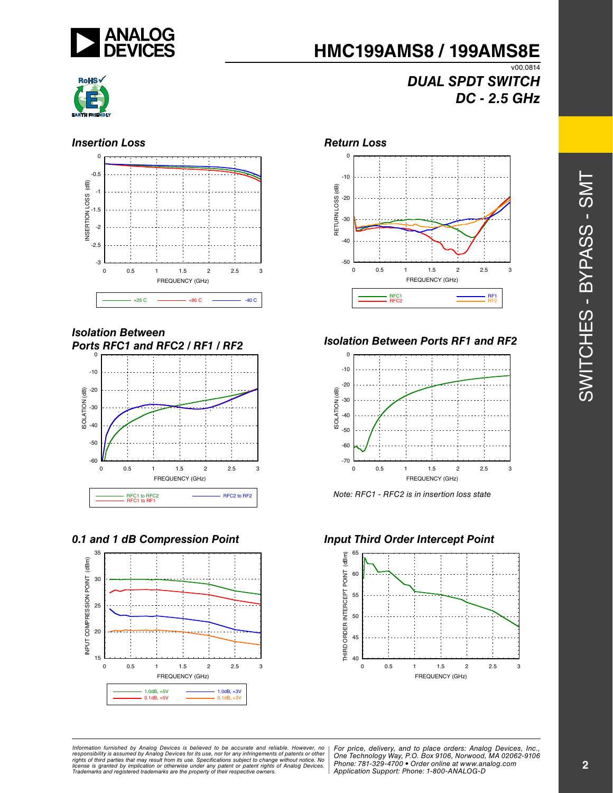

## *DUAL SPDT SWITCH DC - 2.5 GHz*



#### **Insertion Loss** *Return Loss*



#### *Isolation Between Ports RFC1 and RFC2 / RF1 / RF2*



#### *0.1 and 1 dB Compression Point Input Third Order Intercept Point*





#### *Isolation Between Ports RF1 and RF2*



*Note: RFC1 - RFC2 is in insertion loss state*



SWITCHES - BYPASS - SMT SWITCHES - BYPASS - SMT

#### n furnished by Analog Devices is believed to be accurate and reliable. However, no **For price, delivery, and to place orders:** Analog Devices, Inc.,<br>litly is assumed by Analog Devices for its use, nor for any infringements result from its use. Specifications subject to change without notice. No<br>tion or otherwise under any patent or patent rights of Analog Devices Phone: 781-329-4700 • Order online at w *Application Support: Phone: 1-8*<br>*Application Support: Phone: 1-8343 Information furnished by Analog Devices is believed to be accurate and reliable. However, no*  responsibility is assumed by Analog Devices for its use, nor for any infringements of patents or other<br>rights of third parties that may result from its use. Specifications subject to change without notice. No<br>license is gr

*Application Support: Phone: 1-800-ANALOG-D*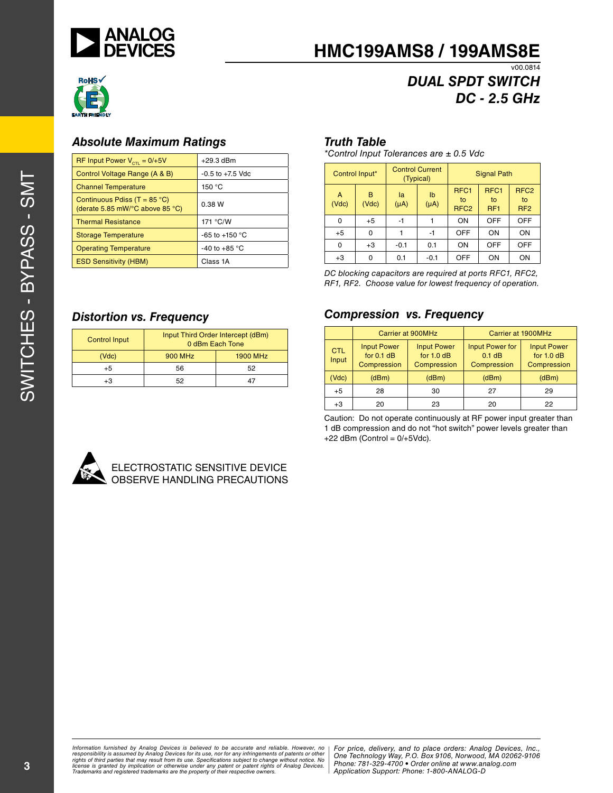



## *DUAL SPDT SWITCH DC - 2.5 GHz*

#### *Absolute Maximum Ratings*

| RF Input Power $V_{\text{crit}} = 0/+5V$                                                    | $+29.3$ dBm              |
|---------------------------------------------------------------------------------------------|--------------------------|
| Control Voltage Range (A & B)                                                               | $-0.5$ to $+7.5$ Vdc     |
| <b>Channel Temperature</b>                                                                  | 150 °C                   |
| Continuous Pdiss (T = $85^{\circ}$ C)<br>(derate 5.85 mW/ $\degree$ C above 85 $\degree$ C) | 0.38 W                   |
| <b>Thermal Resistance</b>                                                                   | 171 °C/W                 |
| <b>Storage Temperature</b>                                                                  | -65 to +150 $^{\circ}$ C |
| <b>Operating Temperature</b>                                                                | -40 to +85 $^{\circ}$ C  |
| <b>ESD Sensitivity (HBM)</b>                                                                | Class 1A                 |

#### *Truth Table*

*\*Control Input Tolerances are ± 0.5 Vdc*

|            | Control Input* |                 | <b>Control Current</b><br>(Typical) |                                            | <b>Signal Path</b>                        |                                           |  |
|------------|----------------|-----------------|-------------------------------------|--------------------------------------------|-------------------------------------------|-------------------------------------------|--|
| A<br>(Vdc) | B<br>(Vdc)     | la<br>$(\mu A)$ | Ib<br>$(\mu A)$                     | RFC <sub>1</sub><br>to<br>RFC <sub>2</sub> | RFC <sub>1</sub><br>to<br>RF <sub>1</sub> | RFC <sub>2</sub><br>to<br>RF <sub>2</sub> |  |
| 0          | $+5$           | -1              |                                     | ON                                         | <b>OFF</b>                                | <b>OFF</b>                                |  |
| $+5$       | $\Omega$       |                 | -1                                  | <b>OFF</b>                                 | ON                                        | ON                                        |  |
| 0          | $+3$           | $-0.1$          | 0.1                                 | ON                                         | <b>OFF</b>                                | <b>OFF</b>                                |  |
| $+3$       | 0              | 0.1             | $-0.1$                              | <b>OFF</b>                                 | ON                                        | ON                                        |  |

*DC blocking capacitors are required at ports RFC1, RFC2, RF1, RF2. Choose value for lowest frequency of operation.*

#### *Compression vs. Frequency*

|                     | Carrier at 900MHz                                 |                                                   | Carrier at 1900MHz                                |                                                   |  |
|---------------------|---------------------------------------------------|---------------------------------------------------|---------------------------------------------------|---------------------------------------------------|--|
| <b>CTL</b><br>Input | <b>Input Power</b><br>for $0.1$ dB<br>Compression | <b>Input Power</b><br>for $1.0$ dB<br>Compression | <b>Input Power for</b><br>$0.1$ dB<br>Compression | <b>Input Power</b><br>for $1.0$ dB<br>Compression |  |
| (Vdc)               | (dBm)                                             | (dBm)                                             | (dBm)                                             | (dBm)                                             |  |
| $+5$                | 28                                                | 30                                                | 27                                                | 29                                                |  |
| $+3$                | 20                                                | 23                                                | 20                                                | 22                                                |  |

Caution: Do not operate continuously at RF power input greater than 1 dB compression and do not "hot switch" power levels greater than  $+22$  dBm (Control =  $0/+5$ Vdc).



| <b>Control Input</b> | Input Third Order Intercept (dBm)<br>0 dBm Each Tone |                 |  |
|----------------------|------------------------------------------------------|-----------------|--|
| (Vdc)                | <b>900 MHz</b>                                       | <b>1900 MHz</b> |  |
| $+5$                 | 56                                                   | 52              |  |
| +3                   | 52                                                   |                 |  |



#### ELECTROSTATIC SENSITIVE DEVICE OBSERVE HANDLING PRECAUTIONS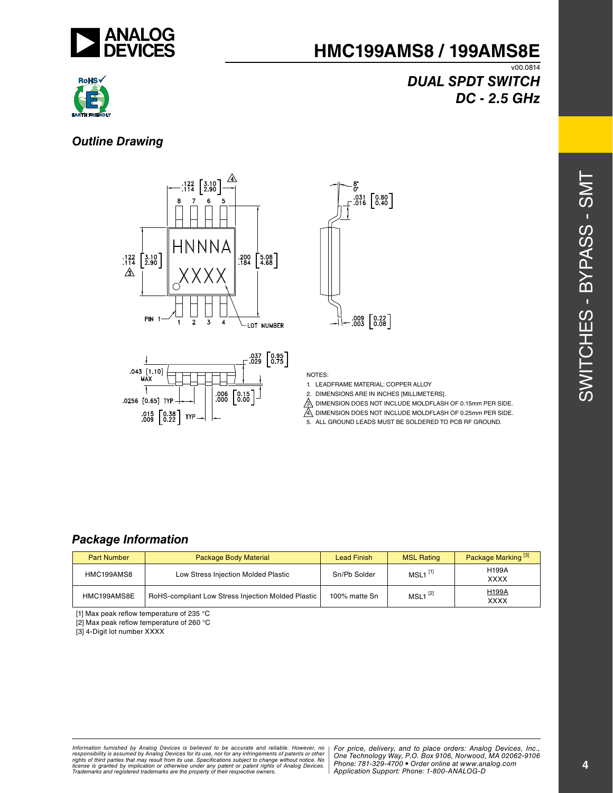

# **RoHS**

## *DUAL SPDT SWITCH DC - 2.5 GHz*

#### *Outline Drawing*







#### NOTES:

- 1. LEADFRAME MATERIAL: COPPER ALLOY
- 2. DIMENSIONS ARE IN INCHES [MILLIMETERS].
- 3. DIMENSION DOES NOT INCLUDE MOLDFLASH OF 0.15mm PER SIDE.
- 4. DIMENSION DOES NOT INCLUDE MOLDFLASH OF 0.25mm PER SIDE.
- 5. ALL GROUND LEADS MUST BE SOLDERED TO PCB RF GROUND.

#### *Package Information*

| <b>Part Number</b> | Package Body Material                              | Lead Finish   | <b>MSL Rating</b>     | Package Marking <sup>[3]</sup> |
|--------------------|----------------------------------------------------|---------------|-----------------------|--------------------------------|
| HMC199AMS8         | Low Stress Injection Molded Plastic                | Sn/Pb Solder  | $MSL1$ <sup>[1]</sup> | <b>H199A</b><br><b>XXXX</b>    |
| HMC199AMS8E        | RoHS-compliant Low Stress Injection Molded Plastic | 100% matte Sn | $MSL1^{[2]}$          | <b>H199A</b><br><b>XXXX</b>    |

[1] Max peak reflow temperature of 235 °C

[2] Max peak reflow temperature of 260 °C

[3] 4-Digit lot number XXXX

n rumished by Analog Devices is believed to be accurate and reliable. However, no **Profect Driver, And to place orders: Analog Device**<br>ility is assumed by Analog Devices for its use not for any infringements of patents or result from its use. Specifications subject to change without notice. No<br>tion or otherwise under any patent or patent rights of Analog Devices Phone: 781-329-4700 • Order online at w *Application Support: Phone: 1-8*<br>*Application Support: Phone: 1-8343* Information furnished by Analog Devices is believed to be accurate and reliable. However, no<br>responsibility is assumed by Analog Devices for its use, nor for any infringements of patents or other<br>rights of third parties th

*For price, delivery, and to place orders: Analog Devices, Inc., One Technology Way, P.O. Box 9106, Norwood, MA 02062-9106 Phone: 781-329-4700 • Order online at www.analog.com Application Support: Phone: 1-800-ANALOG-D*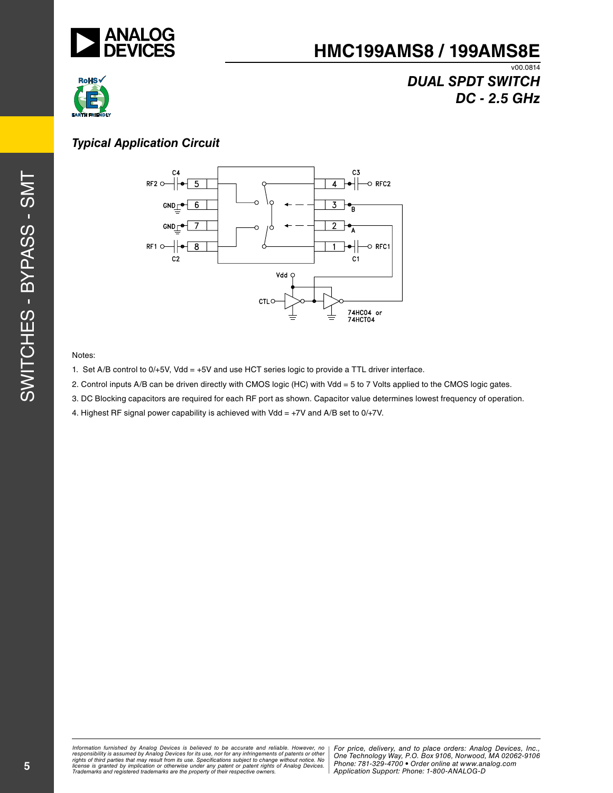



## *DUAL SPDT SWITCH DC - 2.5 GHz*

### *Typical Application Circuit*



#### Notes:

- 1. Set A/B control to 0/+5V, Vdd = +5V and use HCT series logic to provide a TTL driver interface.
- 2. Control inputs A/B can be driven directly with CMOS logic (HC) with Vdd = 5 to 7 Volts applied to the CMOS logic gates.
- 3. DC Blocking capacitors are required for each RF port as shown. Capacitor value determines lowest frequency of operation.
- 4. Highest RF signal power capability is achieved with Vdd =  $+7V$  and A/B set to 0/ $+7V$ .

n furnished by Analog Devices is believed to be accurate and reliable. However, no provided by and to place orders: Analog Devices, Inc.,<br>ility is assumed by Analog Devices for its use, not for any infringements of patents result from its use. Specifications subject to change without notice. No<br>tion or otherwise under any patent or patent rights of Analog Devices Phone: 781-329-4700 • Order online at w *Application Support: Phone: 1-8*<br>*Application Support: Phone: 1-8343 Information furnished by Analog Devices is believed to be accurate and reliable. However, no*  responsibility is assumed by Analog Devices for its use, nor for any infringements of patents or other<br>rights of third parties that may result from its use. Specifications subject to change without notice. No<br>license is gr